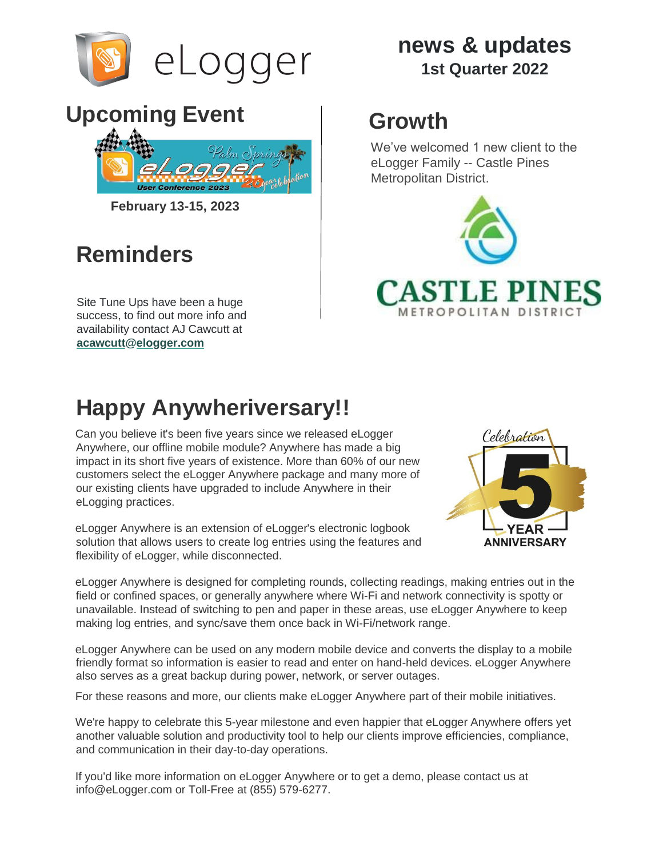

# Upcoming Event | Growth



**February 13-15, 2023**

## **Reminders**

Site Tune Ups have been a huge success, to find out more info and availability contact AJ Cawcutt at **acawcutt@elogger.com**

#### **news & updates 1st Quarter 2022**

We've welcomed 1 new client to the eLogger Family -- Castle Pines Metropolitan District.



# **Happy Anywheriversary!!**

Can you believe it's been five years since we released eLogger Anywhere, our offline mobile module? Anywhere has made a big impact in its short five years of existence. More than 60% of our new customers select the eLogger Anywhere package and many more of our existing clients have upgraded to include Anywhere in their eLogging practices.

eLogger Anywhere is an extension of eLogger's electronic logbook solution that allows users to create log entries using the features and flexibility of eLogger, while disconnected.



eLogger Anywhere is designed for completing rounds, collecting readings, making entries out in the field or confined spaces, or generally anywhere where Wi-Fi and network connectivity is spotty or unavailable. Instead of switching to pen and paper in these areas, use eLogger Anywhere to keep making log entries, and sync/save them once back in Wi-Fi/network range.

eLogger Anywhere can be used on any modern mobile device and converts the display to a mobile friendly format so information is easier to read and enter on hand-held devices. eLogger Anywhere also serves as a great backup during power, network, or server outages.

For these reasons and more, our clients make eLogger Anywhere part of their mobile initiatives.

We're happy to celebrate this 5-year milestone and even happier that eLogger Anywhere offers yet another valuable solution and productivity tool to help our clients improve efficiencies, compliance, and communication in their day-to-day operations.

If you'd like more information on eLogger Anywhere or to get a demo, please contact us at info@eLogger.com or Toll-Free at (855) 579-6277.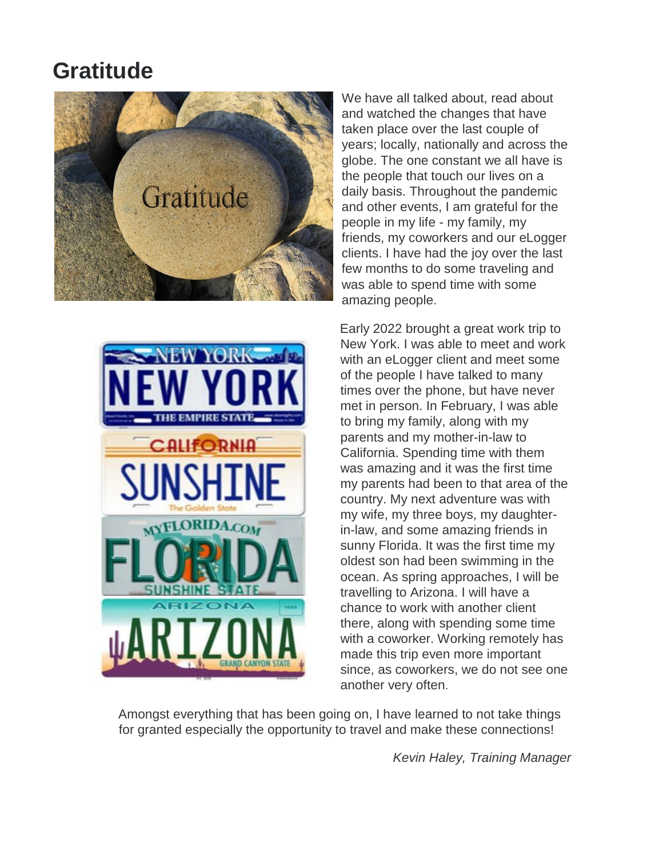#### **Gratitude**





We have all talked about, read about and watched the changes that have taken place over the last couple of years; locally, nationally and across the globe. The one constant we all have is the people that touch our lives on a daily basis. Throughout the pandemic and other events, I am grateful for the people in my life - my family, my friends, my coworkers and our eLogger clients. I have had the joy over the last few months to do some traveling and was able to spend time with some amazing people.

Early 2022 brought a great work trip to New York. I was able to meet and work with an eLogger client and meet some of the people I have talked to many times over the phone, but have never met in person. In February, I was able to bring my family, along with my parents and my mother-in-law to California. Spending time with them was amazing and it was the first time my parents had been to that area of the country. My next adventure was with my wife, my three boys, my daughterin-law, and some amazing friends in sunny Florida. It was the first time my oldest son had been swimming in the ocean. As spring approaches, I will be travelling to Arizona. I will have a chance to work with another client there, along with spending some time with a coworker. Working remotely has made this trip even more important since, as coworkers, we do not see one another very often.

Amongst everything that has been going on, I have learned to not take things for granted especially the opportunity to travel and make these connections!

*Kevin Haley, Training Manager*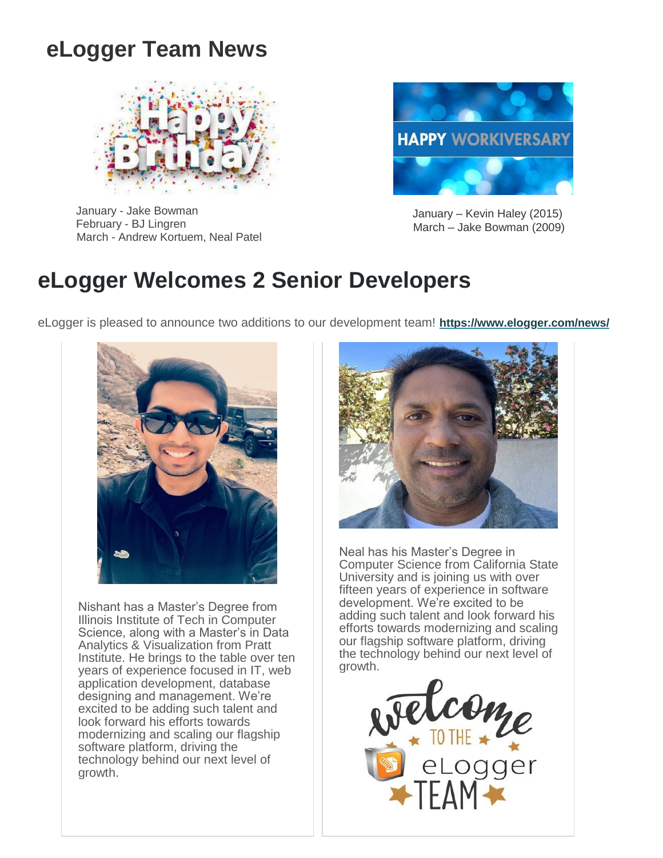### **eLogger Team News**



January - Jake Bowman February - BJ Lingren March - Andrew Kortuem, Neal Patel



January – Kevin Haley (2015) March – Jake Bowman (2009)

#### **eLogger Welcomes 2 Senior Developers**

eLogger is pleased to announce two additions to our development team! **[https://www.elogger.com/news/](https://r20.rs6.net/tn.jsp?f=001Uecb9KEfONGdrcgAC0Kj0uU8o-CxtK2syVw42qE9Jx9XdTBcAQMbopDU3tQ_lukkiVA_W_QBmQeRWf0WgK8SjZHvF-wK422esWMAGxmNbL5SljE0JT5lbo2aw78ez3TWFOfFV6EiFy0vr1gpQNx-ENdpIOzuwvyX&c=YW20IujwxfoeWZd_GB8BHGd99duMtK98joko3xBnEhIr0DCD75rDYg==&ch=vDM_Hb0lJcgmSSurdBnXY_77qubMYaQ9NtqvhGQnyeevDzKM5MrCnQ==)**



Nishant has a Master's Degree from Illinois Institute of Tech in Computer Science, along with a Master's in Data Analytics & Visualization from Pratt Institute. He brings to the table over ten years of experience focused in IT, web application development, database designing and management. We're excited to be adding such talent and look forward his efforts towards modernizing and scaling our flagship software platform, driving the technology behind our next level of growth.



Neal has his Master's Degree in Computer Science from California State University and is joining us with over fifteen years of experience in software development. We're excited to be adding such talent and look forward his efforts towards modernizing and scaling our flagship software platform, driving the technology behind our next level of growth.